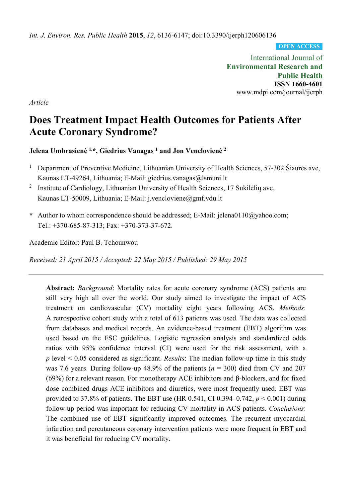*Int. J. Environ. Res. Public Health* **2015**, *12*, 6136-6147; doi:10.3390/ijerph120606136

**OPEN ACCESS**

International Journal of **Environmental Research and Public Health ISSN 1660-4601**  www.mdpi.com/journal/ijerph

*Article*

# **Does Treatment Impact Health Outcomes for Patients After Acute Coronary Syndrome?**

**Jelena Umbrasienė 1,\*, Giedrius Vanagas 1 and Jon Venclovienė <sup>2</sup>**

- 1 Department of Preventive Medicine, Lithuanian University of Health Sciences, 57-302 Šiaurės ave, Kaunas LT-49264, Lithuania; E-Mail: giedrius.vanagas@lsmuni.lt
- <sup>2</sup> Institute of Cardiology, Lithuanian University of Health Sciences, 17 Sukilėlių ave, Kaunas LT-50009, Lithuania; E-Mail: j.vencloviene@gmf.vdu.lt
- **\*** Author to whom correspondence should be addressed; E-Mail: jelena0110@yahoo.com; Tel.: +370-685-87-313; Fax: +370-373-37-672.

Academic Editor: Paul B. Tchounwou

*Received: 21 April 2015 / Accepted: 22 May 2015 / Published: 29 May 2015* 

**Abstract:** *Background*: Mortality rates for acute coronary syndrome (ACS) patients are still very high all over the world. Our study aimed to investigate the impact of ACS treatment on cardiovascular (CV) mortality eight years following ACS. *Methods*: A retrospective cohort study with a total of 613 patients was used. The data was collected from databases and medical records. An evidence-based treatment (EBT) algorithm was used based on the ESC guidelines. Logistic regression analysis and standardized odds ratios with 95% confidence interval (CI) were used for the risk assessment, with a *p* level < 0.05 considered as significant. *Results*: The median follow-up time in this study was 7.6 years. During follow-up 48.9% of the patients (*n* = 300) died from CV and 207 (69%) for a relevant reason. For monotherapy ACE inhibitors and β-blockers, and for fixed dose combined drugs ACE inhibitors and diuretics, were most frequently used. EBT was provided to 37.8% of patients. The EBT use (HR 0.541, CI 0.394–0.742, *p* < 0.001) during follow-up period was important for reducing CV mortality in ACS patients. *Conclusions*: The combined use of EBT significantly improved outcomes. The recurrent myocardial infarction and percutaneous coronary intervention patients were more frequent in EBT and it was beneficial for reducing CV mortality.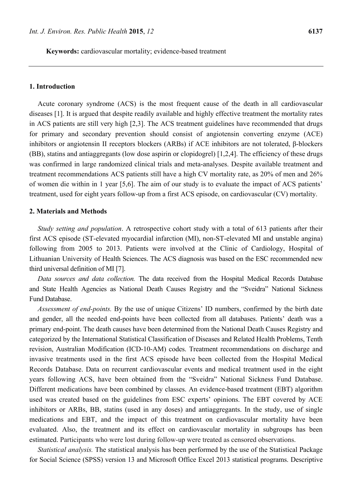#### **1. Introduction**

Acute coronary syndrome (ACS) is the most frequent cause of the death in all cardiovascular diseases [1]. It is argued that despite readily available and highly effective treatment the mortality rates in ACS patients are still very high [2,3]. The ACS treatment guidelines have recommended that drugs for primary and secondary prevention should consist of angiotensin converting enzyme (ACE) inhibitors or angiotensin II receptors blockers (ARBs) if ACE inhibitors are not tolerated, β-blockers (BB), statins and antiaggregants (low dose aspirin or clopidogrel) [1,2,4]. The efficiency of these drugs was confirmed in large randomized clinical trials and meta-analyses. Despite available treatment and treatment recommendations ACS patients still have a high CV mortality rate, as 20% of men and 26% of women die within in 1 year [5,6]. The aim of our study is to evaluate the impact of ACS patients' treatment, used for eight years follow-up from a first ACS episode, on cardiovascular (CV) mortality.

#### **2. Materials and Methods**

*Study setting and population*. A retrospective cohort study with a total of 613 patients after their first ACS episode (ST-elevated myocardial infarction (MI), non-ST-elevated MI and unstable angina) following from 2005 to 2013. Patients were involved at the Clinic of Cardiology, Hospital of Lithuanian University of Health Sciences. The ACS diagnosis was based on the ESC recommended new third universal definition of MI [7].

*Data sources and data collection.* The data received from the Hospital Medical Records Database and State Health Agencies as National Death Causes Registry and the "Sveidra" National Sickness Fund Database.

*Assessment of end-points.* By the use of unique Citizens' ID numbers, confirmed by the birth date and gender, all the needed end-points have been collected from all databases. Patients' death was a primary end-point. The death causes have been determined from the National Death Causes Registry and categorized by the International Statistical Classification of Diseases and Related Health Problems, Tenth revision, Australian Modification (ICD-10-AM) codes. Treatment recommendations on discharge and invasive treatments used in the first ACS episode have been collected from the Hospital Medical Records Database. Data on recurrent cardiovascular events and medical treatment used in the eight years following ACS, have been obtained from the "Sveidra" National Sickness Fund Database. Different medications have been combined by classes. An evidence-based treatment (EBT) algorithm used was created based on the guidelines from ESC experts' opinions. The EBT covered by ACE inhibitors or ARBs, BB, statins (used in any doses) and antiaggregants. In the study, use of single medications and EBT, and the impact of this treatment on cardiovascular mortality have been evaluated. Also, the treatment and its effect on cardiovascular mortality in subgroups has been estimated. Participants who were lost during follow-up were treated as censored observations.

*Statistical analysis.* The statistical analysis has been performed by the use of the Statistical Package for Social Science (SPSS) version 13 and Microsoft Office Excel 2013 statistical programs. Descriptive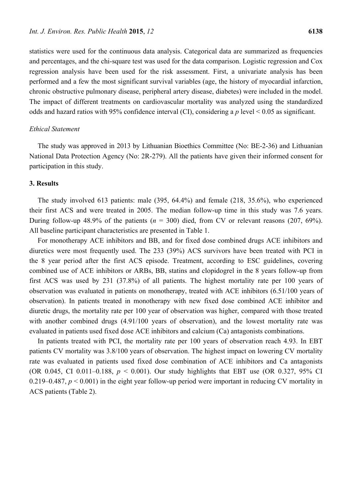statistics were used for the continuous data analysis. Categorical data are summarized as frequencies and percentages, and the chi-square test was used for the data comparison. Logistic regression and Cox regression analysis have been used for the risk assessment. First, a univariate analysis has been performed and a few the most significant survival variables (age, the history of myocardial infarction, chronic obstructive pulmonary disease, peripheral artery disease, diabetes) were included in the model. The impact of different treatments on cardiovascular mortality was analyzed using the standardized odds and hazard ratios with 95% confidence interval (CI), considering a *p* level < 0.05 as significant.

## *Ethical Statement*

The study was approved in 2013 by Lithuanian Bioethics Committee (No: BE-2-36) and Lithuanian National Data Protection Agency (No: 2R-279). All the patients have given their informed consent for participation in this study.

### **3. Results**

The study involved 613 patients: male (395, 64.4%) and female (218, 35.6%), who experienced their first ACS and were treated in 2005. The median follow-up time in this study was 7.6 years. During follow-up 48.9% of the patients  $(n = 300)$  died, from CV or relevant reasons (207, 69%). All baseline participant characteristics are presented in Table 1.

For monotherapy ACE inhibitors and BB, and for fixed dose combined drugs ACE inhibitors and diuretics were most frequently used. The 233 (39%) ACS survivors have been treated with PCI in the 8 year period after the first ACS episode. Treatment, according to ESC guidelines, covering combined use of ACE inhibitors or ARBs, BB, statins and clopidogrel in the 8 years follow-up from first ACS was used by 231 (37.8%) of all patients. The highest mortality rate per 100 years of observation was evaluated in patients on monotherapy, treated with ACE inhibitors (6.51/100 years of observation). In patients treated in monotherapy with new fixed dose combined ACE inhibitor and diuretic drugs, the mortality rate per 100 year of observation was higher, compared with those treated with another combined drugs  $(4.91/100$  years of observation), and the lowest mortality rate was evaluated in patients used fixed dose ACE inhibitors and calcium (Ca) antagonists combinations.

In patients treated with PCI, the mortality rate per 100 years of observation reach 4.93. In EBT patients CV mortality was 3.8/100 years of observation. The highest impact on lowering CV mortality rate was evaluated in patients used fixed dose combination of ACE inhibitors and Ca antagonists (OR 0.045, CI 0.011–0.188, *p* < 0.001). Our study highlights that EBT use (OR 0.327, 95% CI 0.219–0.487,  $p < 0.001$ ) in the eight year follow-up period were important in reducing CV mortality in ACS patients (Table 2).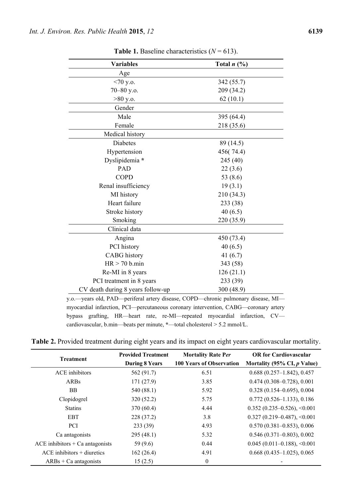| <b>Variables</b>                                                                  | Total $n$ $\left(\frac{0}{0}\right)$ |
|-----------------------------------------------------------------------------------|--------------------------------------|
| Age                                                                               |                                      |
| $<70$ y.o.                                                                        | 342(55.7)                            |
| 70-80 y.o.                                                                        | 209 (34.2)                           |
| $>80$ y.o.                                                                        | 62(10.1)                             |
| Gender                                                                            |                                      |
| Male                                                                              | 395 (64.4)                           |
| Female                                                                            | 218 (35.6)                           |
| Medical history                                                                   |                                      |
| Diabetes                                                                          | 89 (14.5)                            |
| Hypertension                                                                      | 456(74.4)                            |
| Dyslipidemia *                                                                    | 245 (40)                             |
| PAD                                                                               | 22(3.6)                              |
| <b>COPD</b>                                                                       | 53 (8.6)                             |
| Renal insufficiency                                                               | 19(3.1)                              |
| MI history                                                                        | 210 (34.3)                           |
| Heart failure                                                                     | 233 (38)                             |
| Stroke history                                                                    | 40(6.5)                              |
| Smoking                                                                           | 220 (35.9)                           |
| Clinical data                                                                     |                                      |
| Angina                                                                            | 450 (73.4)                           |
| PCI history                                                                       | 40(6.5)                              |
| <b>CABG</b> history                                                               | 41 $(6.7)$                           |
| $HR > 70$ b.min                                                                   | 343 (58)                             |
| Re-MI in 8 years                                                                  | 126(21.1)                            |
| PCI treatment in 8 years                                                          | 233 (39)                             |
| CV death during 8 years follow-up                                                 | 300 (48.9)                           |
| y.o.—years old, PAD—periferal artery disease, COPD—chronic pulmonary disease, MI- |                                      |

**Table 1.** Baseline characteristics  $(N = 613)$ .

myocardial infarction, PCI—percutaneous coronary intervention, CABG—coronary artery bypass grafting, HR—heart rate, re-MI—repeated myocardial infarction, CV cardiovascular, b.min—beats per minute, **\***—total cholesterol > 5.2 mmol/L.

**Table 2.** Provided treatment during eight years and its impact on eight years cardiovascular mortality.

| <b>Treatment</b>                  | <b>Provided Treatment</b> | <b>Mortality Rate Per</b>       | <b>OR</b> for Cardiovascular      |  |
|-----------------------------------|---------------------------|---------------------------------|-----------------------------------|--|
|                                   | <b>During 8 Years</b>     | <b>100 Years of Observation</b> | Mortality (95% CI, $p$ Value)     |  |
| ACE inhibitors                    | 562 (91.7)                | 6.51                            | $0.688(0.257-1.842), 0.457$       |  |
| ARBs                              | 171(27.9)                 | 3.85                            | $0.474(0.308 - 0.728), 0.001$     |  |
| <b>BB</b>                         | 540 (88.1)                | 5.92                            | $0.328(0.154 - 0.695), 0.004$     |  |
| Clopidogrel                       | 320(52.2)                 | 5.75                            | $0.772(0.526 - 1.133), 0.186$     |  |
| <b>Statins</b>                    | 370(60.4)                 | 4.44                            | $0.352$ (0.235-0.526), <0.001     |  |
| <b>EBT</b>                        | 228(37.2)                 | 3.8                             | $0.327(0.219 - 0.487), \le 0.001$ |  |
| <b>PCI</b>                        | 233(39)                   | 4.93                            | $0.570(0.381 - 0.853), 0.006$     |  |
| Ca antagonists                    | 295(48.1)                 | 5.32                            | $0.546(0.371 - 0.803), 0.002$     |  |
| $ACE$ inhibitors + Ca antagonists | 59 (9.6)                  | 0.44                            | $0.045(0.011 - 0.188), \le 0.001$ |  |
| $ACE$ inhibitors + diuretics      | 162(26.4)                 | 4.91                            | $0.668(0.435-1.025), 0.065$       |  |
| $ARBs + Ca$ antagonists           | 15(2.5)                   | $\mathbf{0}$                    |                                   |  |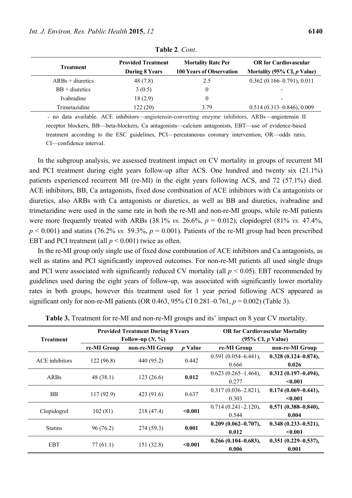| <b>Treatment</b>   | <b>Provided Treatment</b><br><b>During 8 Years</b> | <b>Mortality Rate Per</b><br><b>100 Years of Observation</b> | <b>OR</b> for Cardiovascular<br>Mortality (95% CI, $p$ Value) |
|--------------------|----------------------------------------------------|--------------------------------------------------------------|---------------------------------------------------------------|
| $ARBs + diuretics$ | 48 (7.8)                                           | 2.5                                                          | $0.362(0.166-0.791), 0.011$                                   |
| $BB + diuretics$   | 3(0.5)                                             | $^{(1)}$                                                     |                                                               |
| Ivabradine         | 18(2.9)                                            |                                                              |                                                               |
| Trimetazidine      | 122(20)                                            | 3.79                                                         | $0.514(0.313 - 0.846), 0.009$                                 |

**Table 2**. *Cont*.

 - no data available. ACE inhibitors—angiotensin-converting enzyme inhibitors, ARBs—angiotensin II receptor blockers, BB—beta-blockers, Ca antagonists—calcium antagonists, EBT—use of evidence-based treatment according to the ESC guidelines, PCI—percutaneous coronary intervention, OR—odds ratio, CI—confidence interval.

In the subgroup analysis, we assessed treatment impact on CV mortality in groups of recurrent MI and PCI treatment during eight years follow-up after ACS. One hundred and twenty six (21.1%) patients experienced recurrent MI (re-MI) in the eight years following ACS, and 72 (57.1%) died. ACE inhibitors, BB, Ca antagonists, fixed dose combination of ACE inhibitors with Ca antagonists or diuretics, also ARBs with Ca antagonists or diuretics, as well as BB and diuretics, ivabradine and trimetazidine were used in the same rate in both the re-MI and non-re-MI groups, while re-MI patients were more frequently treated with ARBs  $(38.1\% \text{ vs. } 26.6\%, p = 0.012)$ , clopidogrel  $(81\% \text{ vs. } 47.4\%,$  $p < 0.001$ ) and statins (76.2% *vs.* 59.3%,  $p = 0.001$ ). Patients of the re-MI group had been prescribed EBT and PCI treatment (all  $p < 0.001$ ) twice as often.

In the re-MI group only single use of fixed dose combination of ACE inhibitors and Ca antagonists, as well as statins and PCI significantly improved outcomes. For non-re-MI patients all used single drugs and PCI were associated with significantly reduced CV mortality (all  $p < 0.05$ ). EBT recommended by guidelines used during the eight years of follow-up, was associated with significantly lower mortality rates in both groups, however this treatment used for 1 year period following ACS appeared as significant only for non-re-MI patients (OR  $0.463$ ,  $95\%$  CI  $0.281-0.761$ ,  $p = 0.002$ ) (Table 3).

| <b>Treatment</b> | <b>Provided Treatment During 8 Years</b><br>Follow-up $(N, \%)$ |                 |                | <b>OR for Cardiovascular Mortality</b><br>$(95\% \text{ CI}, p \text{ Value})$ |                                    |
|------------------|-----------------------------------------------------------------|-----------------|----------------|--------------------------------------------------------------------------------|------------------------------------|
|                  | re-MI Group                                                     | non-re-MI Group | <i>p</i> Value | re-MI Group                                                                    | non-re-MI Group                    |
| ACE inhibitors   | 122(96.8)                                                       | 440 (95.2)      | 0.442          | $0.591(0.054 - 6.441),$<br>0.666                                               | $0.328(0.124 - 0.874),$<br>0.026   |
| <b>ARBs</b>      | 48(38.1)                                                        | 123(26.6)       | 0.012          | $0.623(0.265-1.464),$<br>0.277                                                 | $0.312(0.197 - 0.494),$<br>< 0.001 |
| <b>BB</b>        | 117(92.9)                                                       | 423(91.6)       | 0.637          | $0.317(0.036 - 2.821),$<br>0.303                                               | $0.174(0.069 - 0.441),$<br>< 0.001 |
| Clopidogrel      | 102(81)                                                         | 218 (47.4)      | $0.001$        | $0.714(0.241 - 2.120),$<br>0.544                                               | $0.571(0.388 - 0.840),$<br>0.004   |
| <b>Statins</b>   | 96(76.2)                                                        | 274(59.3)       | 0.001          | $0.209(0.062 - 0.707),$<br>0.012                                               | $0.348(0.233 - 0.521),$<br>< 0.001 |
| <b>EBT</b>       | 77(61.1)                                                        | 151 (32.8)      | < 0.001        | $0.266(0.104 - 0.683),$<br>0.006                                               | $0.351(0.229 - 0.537),$<br>0.001   |

**Table 3.** Treatment for re-MI and non-re-MI groups and its' impact on 8 year CV mortality.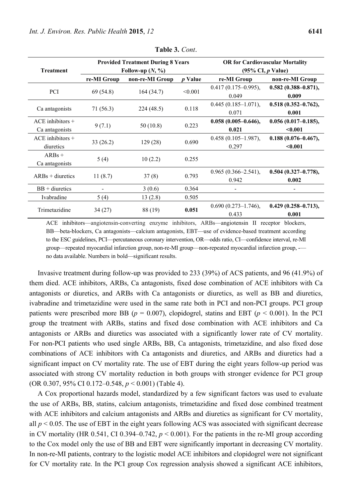|                      | <b>Provided Treatment During 8 Years</b><br>Follow-up $(N, \%)$ |                 |         | <b>OR for Cardiovascular Mortality</b><br>$(95\% \text{ CI}, p \text{ Value})$ |                         |
|----------------------|-----------------------------------------------------------------|-----------------|---------|--------------------------------------------------------------------------------|-------------------------|
| <b>Treatment</b>     |                                                                 |                 |         |                                                                                |                         |
|                      | re-MI Group                                                     | non-re-MI Group | p Value | re-MI Group                                                                    | non-re-MI Group         |
|                      |                                                                 |                 |         | $0.417(0.175-0.995),$                                                          | $0.582(0.388 - 0.871),$ |
| <b>PCI</b>           | 69(54.8)                                                        | 164(34.7)       | < 0.001 | 0.049                                                                          | 0.009                   |
|                      |                                                                 | 224(48.5)       | 0.118   | $0.445(0.185-1.071),$                                                          | $0.518(0.352 - 0.762),$ |
| Ca antagonists       | 71 (56.3)                                                       |                 |         | 0.071                                                                          | 0.001                   |
| $ACE$ inhibitors $+$ |                                                                 |                 |         | $0.058(0.005 - 0.646),$                                                        | $0.056(0.017 - 0.185),$ |
| Ca antagonists       | 9(7.1)                                                          | 50(10.8)        | 0.223   | 0.021                                                                          | $0.001$                 |
| $ACE$ inhibitors $+$ |                                                                 |                 |         | $0.458(0.105-1.987),$                                                          | $0.188(0.076 - 0.467),$ |
| diuretics            | 33(26.2)                                                        | 129(28)         | 0.690   | 0.297                                                                          | < 0.001                 |
| $ARBs +$             |                                                                 |                 |         |                                                                                |                         |
| Ca antagonists       | 5(4)                                                            | 10(2.2)         | 0.255   |                                                                                |                         |
| $ARBs + diuretics$   | 11(8.7)                                                         |                 | 0.793   | $0.965(0.366 - 2.541),$                                                        | $0.504(0.327 - 0.778),$ |
|                      |                                                                 | 37(8)           |         | 0.942                                                                          | 0.002                   |
| $BB + diuretics$     |                                                                 | 3(0.6)          | 0.364   |                                                                                |                         |
| Ivabradine           | 5(4)                                                            | 13(2.8)         | 0.505   |                                                                                |                         |
| Trimetazidine        | 88 (19)<br>34(27)                                               |                 | 0.051   | $0.690(0.273 - 1.746),$                                                        | $0.429(0.258 - 0.713),$ |
|                      |                                                                 |                 |         | 0.433                                                                          | 0.001                   |

**Table 3.** *Cont*.

ACE inhibitors—angiotensin-converting enzyme inhibitors, ARBs—angiotensin II receptor blockers, BB—beta-blockers, Ca antagonists—calcium antagonists, EBT—use of evidence-based treatment according to the ESC guidelines, PCI—percutaneous coronary intervention, OR—odds ratio, CI—confidence interval, re-MI group—repeated myocardial infarction group, non-re-MI group—non-repeated myocardial infarction group, - no data available. Numbers in bold—significant results.

Invasive treatment during follow-up was provided to 233 (39%) of ACS patients, and 96 (41.9%) of them died. ACE inhibitors, ARBs, Ca antagonists, fixed dose combination of ACE inhibitors with Ca antagonists or diuretics, and ARBs with Ca antagonists or diuretics, as well as BB and diuretics, ivabradine and trimetazidine were used in the same rate both in PCI and non-PCI groups. PCI group patients were prescribed more BB ( $p = 0.007$ ), clopidogrel, statins and EBT ( $p < 0.001$ ). In the PCI group the treatment with ARBs, statins and fixed dose combination with ACE inhibitors and Ca antagonists or ARBs and diuretics was associated with a significantly lower rate of CV mortality. For non-PCI patients who used single ARBs, BB, Ca antagonists, trimetazidine, and also fixed dose combinations of ACE inhibitors with Ca antagonists and diuretics, and ARBs and diuretics had a significant impact on CV mortality rate. The use of EBT during the eight years follow-up period was associated with strong CV mortality reduction in both groups with stronger evidence for PCI group (OR 0.307, 95% CI 0.172–0.548, *p* < 0.001) (Table 4).

A Cox proportional hazards model, standardized by a few significant factors was used to evaluate the use of ARBs, BB, statins, calcium antagonists, trimetazidine and fixed dose combined treatment with ACE inhibitors and calcium antagonists and ARBs and diuretics as significant for CV mortality, all  $p < 0.05$ . The use of EBT in the eight years following ACS was associated with significant decrease in CV mortality (HR  $0.541$ , CI  $0.394-0.742$ ,  $p < 0.001$ ). For the patients in the re-MI group according to the Cox model only the use of BB and EBT were significantly important in decreasing CV mortality. In non-re-MI patients, contrary to the logistic model ACE inhibitors and clopidogrel were not significant for CV mortality rate. In the PCI group Cox regression analysis showed a significant ACE inhibitors,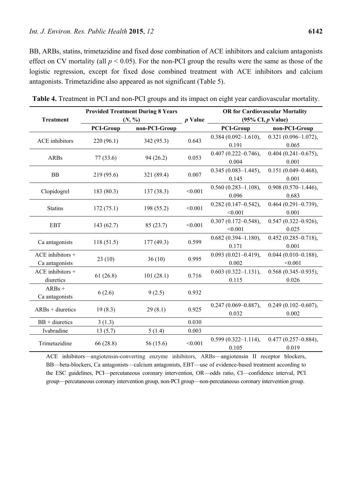BB, ARBs, statins, trimetazidine and fixed dose combination of ACE inhibitors and calcium antagonists effect on CV mortality (all  $p < 0.05$ ). For the non-PCI group the results were the same as those of the logistic regression, except for fixed dose combined treatment with ACE inhibitors and calcium antagonists. Trimetazidine also appeared as not significant (Table 5).

|                    | <b>Provided Treatment During 8 Years</b> |               |                         | <b>OR for Cardiovascular Mortality</b> |                         |
|--------------------|------------------------------------------|---------------|-------------------------|----------------------------------------|-------------------------|
| <b>Treatment</b>   | (N, %)                                   |               | $p$ Value               | $(95\% \text{ CI}, p \text{ Value})$   |                         |
|                    | <b>PCI-Group</b>                         | non-PCI-Group |                         | <b>PCI-Group</b>                       | non-PCI-Group           |
|                    |                                          |               |                         | $0.384(0.092 - 1.610),$                | $0.321(0.096 - 1.072),$ |
| ACE inhibitors     | 220 (96.1)                               | 342 (95.3)    | 0.643                   | 0.191                                  | 0.065                   |
|                    |                                          |               | 0.053                   | $0.407(0.222 - 0.746),$                | $0.404(0.241 - 0.675),$ |
| <b>ARBs</b>        | 77 (33.6)                                | 94 (26.2)     |                         | 0.004                                  | 0.001                   |
|                    |                                          |               | 0.007                   | $0.345(0.083 - 1.445),$                | $0.151(0.049 - 0.468),$ |
| <b>BB</b>          | 219 (95.6)                               | 321 (89.4)    |                         | 0.145                                  | 0.001                   |
|                    |                                          |               | < 0.001                 | $0.560(0.283 - 1.108),$                | $0.908(0.570-1.446),$   |
| Clopidogrel        | 183(80.3)                                | 137(38.3)     |                         | 0.096                                  | 0.683                   |
| <b>Statins</b>     |                                          |               | < 0.001                 | $0.282(0.147 - 0.542),$                | $0.464(0.291 - 0.739),$ |
|                    | 172(75.1)                                | 198 (55.2)    |                         | < 0.001                                | 0.001                   |
| <b>EBT</b>         |                                          |               | < 0.001                 | $0.307(0.172 - 0.548),$                | $0.547(0.322 - 0.926),$ |
|                    | 143(62.7)                                | 85(23.7)      |                         | < 0.001                                | 0.025                   |
|                    | 118(51.5)                                | 177 (49.3)    | 0.599                   | $0.682(0.394 - 1.180),$                | $0.452(0.285 - 0.718),$ |
| Ca antagonists     |                                          |               |                         | 0.171                                  | 0.001                   |
| $ACE$ inhibitors + | 23(10)                                   | 36(10)        | 0.995                   | $0.093(0.021 - 0.419),$                | $0.044(0.010 - 0.188),$ |
| Ca antagonists     |                                          |               |                         | 0.002                                  | < 0.001                 |
| ACE inhibitors +   | 61(26.8)                                 | 101(28.1)     | 0.716                   | $0.603(0.322 - 1.131),$                | $0.568(0.345 - 0.935),$ |
| diuretics          |                                          |               |                         | 0.115                                  | 0.026                   |
| $ARBs +$           |                                          |               | 0.932                   |                                        |                         |
| Ca antagonists     | 6(2.6)                                   | 9(2.5)        |                         |                                        |                         |
| $ARBs + diuretics$ | 29(8.1)                                  | 0.925         | $0.247(0.069 - 0.887),$ | $0.249(0.102 - 0.607),$                |                         |
|                    | 19(8.3)                                  |               |                         | 0.032                                  | 0.002                   |
| $BB + diuretics$   | 3(1.3)                                   |               | 0.030                   |                                        |                         |
| Ivabradine         | 13(5.7)                                  | 5(1.4)        | 0.003                   |                                        |                         |
|                    |                                          |               |                         | $0.599(0.322 - 1.114),$                | $0.477(0.257 - 0.884),$ |
| Trimetazidine      | 66(28.8)<br>56 (15.6)                    | < 0.001       | 0.105                   | 0.019                                  |                         |

**Table 4.** Treatment in PCI and non-PCI groups and its impact on eight year cardiovascular mortality.

ACE inhibitors—angiotensin-converting enzyme inhibitors, ARBs—angiotensin II receptor blockers, BB—beta-blockers, Ca antagonists—calcium antagonists, EBT—use of evidence-based treatment according to the ESC guidelines, PCI—percutaneous coronary intervention, OR—odds ratio, CI—confidence interval, PCI group—percutaneous coronary intervention group, non-PCI group—non-percutaneous coronary intervention group.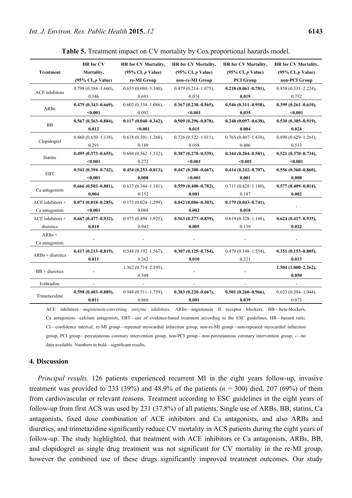| <b>Treatment</b>                | <b>HR</b> for CV                     | <b>HR</b> for CV Mortality,          | <b>HR</b> for CV Mortality,                 | <b>HR</b> for CV Mortality,                    | <b>HR</b> for CV Mortality,                             |
|---------------------------------|--------------------------------------|--------------------------------------|---------------------------------------------|------------------------------------------------|---------------------------------------------------------|
|                                 | Mortality,                           | $(95\% \text{ CI}, p \text{ Value})$ | $(95\% \text{ CI}, p \text{ Value})$        | $(95\% \text{ CI}, p \text{ Value})$           | $(95\% \text{ CI}, p \text{ Value})$                    |
|                                 | $(95\% \text{ CI}, p \text{ Value})$ | re-MI Group                          | non-re-MI Group                             | <b>PCI</b> Group                               | non-PCI Group                                           |
| <b>ACE</b> inhibitors           | $0.798(0.384 - 1.660),$              | $0.655(0.080 - 5.340),$              | $0.479(0.214 - 1.075),$                     | $0.218(0.061 - 0.781),$                        | $0.858(0.331 - 2.224),$                                 |
|                                 | 0.546                                | 0.693                                | 0.074                                       | 0.019                                          | 0.752                                                   |
| ARBs                            | $0.479(0.343 - 0.669),$              | $0.602(0.334 - 1.086)$ ,             | $0.367(0.238 - 0.565),$                     | $0.546(0.311 - 0.958),$                        | $0.399(0.261 - 0.610),$                                 |
|                                 | < 0.001                              | 0.092                                | $0.001$                                     | 0.035                                          | < 0.001                                                 |
| <b>BB</b>                       | $0.567(0.363 - 0.884),$              | $0.117(0.040 - 0.342),$              | $0.509(0.296 - 0.878),$                     | $0.248(0.097 - 0.638),$                        | $0.530(0.305 - 0.919),$                                 |
|                                 | 0.012                                | $0.001$                              | 0.015                                       | 0.004                                          | 0.024                                                   |
| Clopidogrel                     | $0.860(0.650-1.138),$                | $0.618(0.301 - 1.268),$              | $0.726(0.522 - 1.011),$                     | $0.765(0.407-1.438),$                          | $0.890(0.629 - 1.261)$ ,                                |
|                                 | 0.291                                | 0.189                                | 0.058                                       | 0.406                                          | 0.513                                                   |
| <b>Statins</b>                  | $0.495(0.373 - 0.655),$              | $0.694(0.362 - 1.332)$ ,             | $0.387(0.278 - 0.539),$                     | $0.344(0.204 - 0.581),$                        | $0.521(0.370 - 0.734),$                                 |
|                                 | $0.001$                              | 0.272                                | $0.001$                                     | $0.001$                                        | $0.001$                                                 |
| <b>EBT</b>                      | $0.541(0.394 - 0.742),$              | $0.454(0.253 - 0.813),$              | $0.447(0.300 - 0.667),$                     | $0.414(0.242 - 0.707),$                        | $0.556(0.360 - 0.860),$                                 |
|                                 | $0.001$                              | 0.008                                | $0.001$                                     | 0.001                                          | 0.008                                                   |
| Ca antagonists                  | $0.666(0.503 - 0.881),$              | $0.637(0.344 - 1.181),$              | $0.559(0.400 - 0.782),$                     | $0.711(0.428 - 1.180),$                        | $0.577(0.409 - 0.814),$                                 |
|                                 | 0.004                                | 0.152                                | 0.001                                       | 0.187                                          | 0.002                                                   |
| $ACE$ inhibitors $+$            | $0.071(0.018 - 0.285),$              | $0.175(0.024-1.299),$                | $0.042(0.006 - 0.303),$                     | $0.179(0.043 - 0.741),$                        |                                                         |
| Ca antagonists                  | $0.001$                              | 0.088                                | 0.002                                       | 0.018                                          |                                                         |
| $ACE$ inhibitors +              | $0.667(0.477 - 0.932),$              | $0.975(0.494 - 1.925),$              | $0.563(0.377 - 0.839),$                     | $0.619(0.328 - 1.168),$                        | $0.624(0.417 - 0.935),$                                 |
| diuretics                       | 0.018                                | 0.942                                | 0.005                                       | 0.139                                          | 0.022                                                   |
| $ARBs +$<br>Ca antagonists      |                                      |                                      |                                             |                                                |                                                         |
| $ARBs + diuretics$              | $0.417(0.213 - 0.819),$              | $0.548(0.192 - 1.567),$              | $0.307(0.125 - 0.754),$                     | $0.479(0.148 - 1.554),$                        | $0.351(0.153 - 0.805),$                                 |
|                                 | 0.011                                | 0.262                                | 0.010                                       | 0.221                                          | 0.013                                                   |
| $BB + diuretics$                |                                      | 1.362 (0.714-2.595),<br>0.348        |                                             |                                                | $1.504(1.000 - 2.262),$<br>0.050                        |
| Ivabradine                      |                                      |                                      |                                             |                                                |                                                         |
| Trimetazidine<br>$CD = 1.11114$ | $0.598(0.403 - 0.889),$<br>0.011     | $0.948(0.511 - 1.759),$<br>0.866     | $0.383(0.220 - 0.667),$<br>0.001<br>$ADD -$ | $0.501(0.260 - 0.966),$<br>0.039<br>$1.1 - 1.$ | $0.633(0.384 - 1.044),$<br>0.073<br>$1 - 1 - 1 - 1 - 1$ |

**Table 5.** Treatment impact on CV mortality by Cox proportional hazards model.

ACE inhibitors—angiotensin-converting enzyme inhibitors, ARBs—angiotensin II receptor blockers, BB—beta-blockers, Ca antagonists—calcium antagonists, EBT—use of evidence-based treatment according to the ESC guidelines, HR—hazard ratio, CI—confidence interval, re-MI group—repeated myocardial infarction group, non-re-MI group—non-repeated myocardial infarction group, PCI group—percutaneous coronary intervention group, non-PCI group—non-percutaneous coronary intervention group, -—no data available. Numbers in bold—significant results.

## **4. Discussion**

*Principal results.* 126 patients experienced recurrent MI in the eight years follow-up, invasive treatment was provided to 233 (39%) and 48.9% of the patients  $(n = 300)$  died, 207 (69%) of them from cardiovascular or relevant reasons. Treatment according to ESC guidelines in the eight years of follow-up from first ACS was used by 231 (37.8%) of all patients. Single use of ARBs, BB, statins, Ca antagonists, fixed dose combination of ACE inhibitors and Ca antagonists, and also ARBs and diuretics, and trimetazidine significantly reduce CV mortality in ACS patients during the eight years of follow-up. The study highlighted, that treatment with ACE inhibitors or Ca antagonists, ARBs, BB, and clopidogrel as single drug treatment was not significant for CV mortality in the re-MI group, however the combined use of these drugs significantly improved treatment outcomes. Our study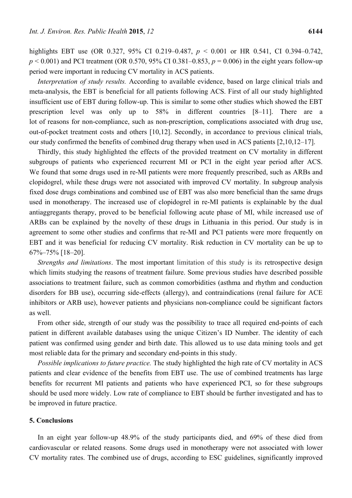highlights EBT use (OR 0.327, 95% CI 0.219–0.487, *p* < 0.001 or HR 0.541, CI 0.394–0.742,  $p < 0.001$ ) and PCI treatment (OR 0.570, 95% CI 0.381–0.853,  $p = 0.006$ ) in the eight years follow-up period were important in reducing CV mortality in ACS patients.

*Interpretation of study results.* According to available evidence, based on large clinical trials and meta-analysis, the EBT is beneficial for all patients following ACS. First of all our study highlighted insufficient use of EBT during follow-up. This is similar to some other studies which showed the EBT prescription level was only up to 58% in different countries [8–11]. There are a lot of reasons for non-compliance, such as non-prescription, complications associated with drug use, out-of-pocket treatment costs and others [10,12]. Secondly, in accordance to previous clinical trials, our study confirmed the benefits of combined drug therapy when used in ACS patients [2,10,12–17].

Thirdly, this study highlighted the effects of the provided treatment on CV mortality in different subgroups of patients who experienced recurrent MI or PCI in the eight year period after ACS. We found that some drugs used in re-MI patients were more frequently prescribed, such as ARBs and clopidogrel, while these drugs were not associated with improved CV mortality. In subgroup analysis fixed dose drugs combinations and combined use of EBT was also more beneficial than the same drugs used in monotherapy. The increased use of clopidogrel in re-MI patients is explainable by the dual antiaggregants therapy, proved to be beneficial following acute phase of MI, while increased use of ARBs can be explained by the novelty of these drugs in Lithuania in this period. Our study is in agreement to some other studies and confirms that re-MI and PCI patients were more frequently on EBT and it was beneficial for reducing CV mortality. Risk reduction in CV mortality can be up to 67%–75% [18–20].

*Strengths and limitations*. The most important limitation of this study is its retrospective design which limits studying the reasons of treatment failure. Some previous studies have described possible associations to treatment failure, such as common comorbidities (asthma and rhythm and conduction disorders for BB use), occurring side-effects (allergy), and contraindications (renal failure for ACE inhibitors or ARB use), however patients and physicians non-compliance could be significant factors as well.

From other side, strength of our study was the possibility to trace all required end-points of each patient in different available databases using the unique Citizen's ID Number. The identity of each patient was confirmed using gender and birth date. This allowed us to use data mining tools and get most reliable data for the primary and secondary end-points in this study.

*Possible implications to future practice.* The study highlighted the high rate of CV mortality in ACS patients and clear evidence of the benefits from EBT use. The use of combined treatments has large benefits for recurrent MI patients and patients who have experienced PCI, so for these subgroups should be used more widely. Low rate of compliance to EBT should be further investigated and has to be improved in future practice.

## **5. Conclusions**

In an eight year follow-up 48.9% of the study participants died, and 69% of these died from cardiovascular or related reasons. Some drugs used in monotherapy were not associated with lower CV mortality rates. The combined use of drugs, according to ESC guidelines, significantly improved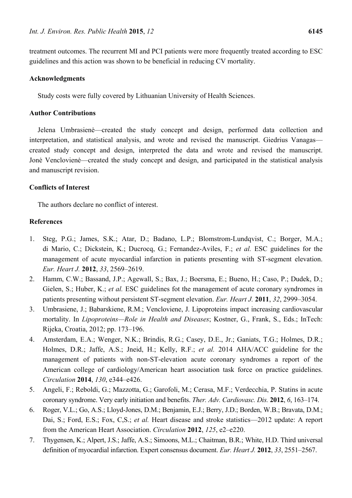treatment outcomes. The recurrent MI and PCI patients were more frequently treated according to ESC guidelines and this action was shown to be beneficial in reducing CV mortality.

## **Acknowledgments**

Study costs were fully covered by Lithuanian University of Health Sciences.

## **Author Contributions**

Jelena Umbrasienė—created the study concept and design, performed data collection and interpretation, and statistical analysis, and wrote and revised the manuscript. Giedrius Vanagas created study concept and design, interpreted the data and wrote and revised the manuscript. Jonė Venclovienė—created the study concept and design, and participated in the statistical analysis and manuscript revision.

#### **Conflicts of Interest**

The authors declare no conflict of interest.

#### **References**

- 1. Steg, P.G.; James, S.K.; Atar, D.; Badano, L.P.; Blomstrom-Lundqvist, C.; Borger, M.A.; di Mario, C.; Dickstein, K.; Ducrocq, G.; Fernandez-Aviles, F.; *et al.* ESC guidelines for the management of acute myocardial infarction in patients presenting with ST-segment elevation. *Eur. Heart J.* **2012**, *33*, 2569–2619.
- 2. Hamm, C.W.; Bassand, J.P.; Agewall, S.; Bax, J.; Boersma, E.; Bueno, H.; Caso, P.; Dudek, D.; Gielen, S.; Huber, K.; *et al.* ESC guidelines fot the management of acute coronary syndromes in patients presenting without persistent ST-segment elevation. *Eur. Heart J.* **2011**, *32*, 2999–3054.
- 3. Umbrasiene, J.; Babarskiene, R.M.; Vencloviene, J. Lipoproteins impact increasing cardiovascular mortality. In *Lipoproteins—Role in Health and Diseases*; Kostner, G., Frank, S., Eds.; InTech: Rijeka, Croatia, 2012; pp. 173–196.
- 4. Amsterdam, E.A.; Wenger, N.K.; Brindis, R.G.; Casey, D.E., Jr.; Ganiats, T.G.; Holmes, D.R.; Holmes, D.R.; Jaffe, A.S.; Jneid, H.; Kelly, R.F.; *et al.* 2014 AHA/ACC guideline for the management of patients with non-ST-elevation acute coronary syndromes a report of the American college of cardiology/American heart association task force on practice guidelines. *Circulation* **2014**, *130*, e344–e426.
- 5. Angeli, F.; Reboldi, G.; Mazzotta, G.; Garofoli, M.; Cerasa, M.F.; Verdecchia, P. Statins in acute coronary syndrome. Very early initiation and benefits. *Ther. Adv. Cardiovasc. Dis.* **2012**, *6*, 163–174.
- 6. Roger, V.L.; Go, A.S.; Lloyd-Jones, D.M.; Benjamin, E.J.; Berry, J.D.; Borden, W.B.; Bravata, D.M.; Dai, S.; Ford, E.S.; Fox, C,S.; *et al.* Heart disease and stroke statistics—2012 update: A report from the American Heart Association. *Circulation* **2012**, *125*, e2–e220.
- 7. Thygensen, K.; Alpert, J.S.; Jaffe, A.S.; Simoons, M.L.; Chaitman, B.R.; White, H.D. Third universal definition of myocardial infarction. Expert consensus document. *Eur. Heart J.* **2012**, *33*, 2551–2567.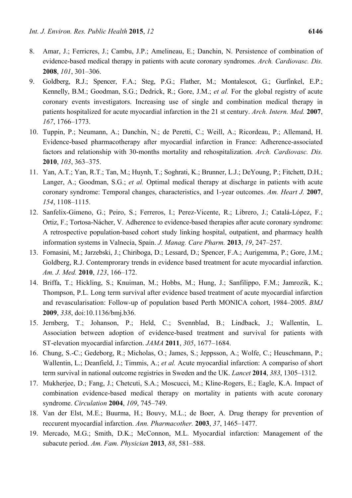- 8. Amar, J.; Ferricres, J.; Cambu, J.P.; Amelineau, E.; Danchin, N. Persistence of combination of evidence-based medical therapy in patients with acute coronary syndromes. *Arch. Cardiovasc. Dis.*  **2008**, *101*, 301–306.
- 9. Goldberg, R.J.; Spencer, F.A.; Steg, P.G.; Flather, M.; Montalescot, G.; Gurfinkel, E.P.; Kennelly, B.M.; Goodman, S.G.; Dedrick, R.; Gore, J.M.; *et al.* For the global registry of acute coronary events investigators. Increasing use of single and combination medical therapy in patients hospitalized for acute myocardial infarction in the 21 st century. *Arch. Intern. Med.* **2007**, *167*, 1766–1773.
- 10. Tuppin, P.; Neumann, A.; Danchin, N.; de Peretti, C.; Weill, A.; Ricordeau, P.; Allemand, H. Evidence-based pharmacotherapy after myocardial infarction in France: Adherence-associated factors and relationship with 30-months mortality and rehospitalization. *Arch. Cardiovasc. Dis.*  **2010**, *103*, 363–375.
- 11. Yan, A.T.; Yan, R.T.; Tan, M.; Huynh, T.; Soghrati, K.; Brunner, L.J.; DeYoung, P.; Fitchett, D.H.; Langer, A.; Goodman, S.G.; *et al.* Optimal medical therapy at discharge in patients with acute coronary syndrome: Temporal changes, characteristics, and 1-year outcomes. *Am. Heart J.* **2007**, *154*, 1108–1115.
- 12. Sanfelix-Gimeno, G.; Peiro, S.; Ferreros, I.; Perez-Vicente, R.; Librero, J.; Catalá-López, F.; Ortiz, F.; Tortosa-Nácher, V. Adherence to evidence-based therapies after acute coronary syndrome: A retrospective population-based cohort study linking hospital, outpatient, and pharmacy health information systems in Valnecia, Spain. *J. Manag. Care Pharm.* **2013**, *19*, 247–257.
- 13. Fornasini, M.; Jarzebski, J.; Chiriboga, D.; Lessard, D.; Spencer, F.A.; Aurigemma, P.; Gore, J.M.; Goldberg, R.J. Contemprorary trends in evidence based treatment for acute myocardial infarction. *Am. J. Med.* **2010**, *123*, 166–172.
- 14. Briffa, T.; Hickling, S.; Knuiman, M.; Hobbs, M.; Hung, J.; Sanfilippo, F.M.; Jamrozik, K.; Thompson, P.L. Long term survival after evidence based treatment of acute myocardial infarction and revascularisation: Follow-up of population based Perth MONICA cohort, 1984–2005. *BMJ* **2009**, *338*, doi:10.1136/bmj.b36.
- 15. Jernberg, T.; Johanson, P.; Held, C.; Svennblad, B.; Lindback, J.; Wallentin, L. Association between adoption of evidence-based treatment and survival for patients with ST-elevation myocardial infarction. *JAMA* **2011**, *305*, 1677–1684.
- 16. Chung, S.-C.; Gedeborg, R.; Micholas, O.; James, S.; Jeppsson, A.; Wolfe, C.; Heuschmann, P.; Wallentin, L.; Deanfield, J.; Timmis, A.; *et al.* Acute myocardial infarction: A compariso of short term survival in national outcome registries in Sweden and the UK. *Lancet* **2014**, *383*, 1305–1312.
- 17. Mukherjee, D.; Fang, J.; Chetcuti, S.A.; Moscucci, M.; Kline-Rogers, E.; Eagle, K.A. Impact of combination evidence-based medical therapy on mortality in patients with acute coronary syndrome. *Circulation* **2004**, *109*, 745–749.
- 18. Van der Elst, M.E.; Buurma, H.; Bouvy, M.L.; de Boer, A. Drug therapy for prevention of reccurent myocardial infarction. *Ann. Pharmacother.* **2003**, *37*, 1465–1477.
- 19. Mercado, M.G.; Smith, D.K.; McConnon, M.L. Myocardial infarction: Management of the subacute period. *Am. Fam. Physician* **2013**, *88*, 581–588.